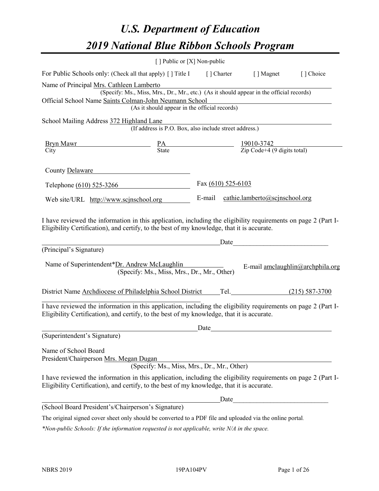# *U.S. Department of Education 2019 National Blue Ribbon Schools Program*

|                                                                                                                                                                                                                                                                                         | [] Public or [X] Non-public                                                                                        |      |                                                                                                                        |                                  |
|-----------------------------------------------------------------------------------------------------------------------------------------------------------------------------------------------------------------------------------------------------------------------------------------|--------------------------------------------------------------------------------------------------------------------|------|------------------------------------------------------------------------------------------------------------------------|----------------------------------|
| For Public Schools only: (Check all that apply) [ ] Title I [ ] Charter [ ] Magnet [ ] Choice                                                                                                                                                                                           |                                                                                                                    |      |                                                                                                                        |                                  |
| Name of Principal Mrs. Cathleen Lamberto<br>Official School Name Saints Colman-John Neumann School                                                                                                                                                                                      | IS. Cainfries Lamberto<br>(Specify: Ms., Miss, Mrs., Dr., Mr., etc.) (As it should appear in the official records) |      | <u> 1980 - Johann Stoff, deutscher Stoffen und der Stoffen und der Stoffen und der Stoffen und der Stoffen und der</u> |                                  |
|                                                                                                                                                                                                                                                                                         | (As it should appear in the official records)                                                                      |      |                                                                                                                        |                                  |
| School Mailing Address 372 Highland Lane                                                                                                                                                                                                                                                | ghland Lane<br>(If address is P.O. Box, also include street address.)                                              |      |                                                                                                                        |                                  |
| $\frac{\text{Bryn Mawr}}{\text{City}}$ $\frac{\text{PA}}{\text{State}}$ $\frac{19010-3742}{\text{Zip Code}+4 (9 \text{ digits total})}$                                                                                                                                                 |                                                                                                                    |      |                                                                                                                        |                                  |
| $\overline{City}$                                                                                                                                                                                                                                                                       |                                                                                                                    |      |                                                                                                                        |                                  |
| County Delaware                                                                                                                                                                                                                                                                         |                                                                                                                    |      |                                                                                                                        |                                  |
| Telephone (610) 525-3266 Fax (610) 525-6103                                                                                                                                                                                                                                             |                                                                                                                    |      |                                                                                                                        |                                  |
| Web site/URL http://www.scjnschool.org                                                                                                                                                                                                                                                  |                                                                                                                    |      | E-mail cathie.lamberto@scjnschool.org                                                                                  |                                  |
| I have reviewed the information in this application, including the eligibility requirements on page 2 (Part I-<br>Eligibility Certification), and certify, to the best of my knowledge, that it is accurate.<br>(Principal's Signature)<br>Name of Superintendent*Dr. Andrew McLaughlin | <u>Date</u> Date Date<br>(Specify: Ms., Miss, Mrs., Dr., Mr., Other)                                               |      |                                                                                                                        | E-mail amclaughlin@archphila.org |
| District Name Archdiocese of Philadelphia School District Tel. (215) 587-3700                                                                                                                                                                                                           |                                                                                                                    |      |                                                                                                                        |                                  |
| I have reviewed the information in this application, including the eligibility requirements on page 2 (Part I-<br>Eligibility Certification), and certify, to the best of my knowledge, that it is accurate.                                                                            |                                                                                                                    | Date |                                                                                                                        |                                  |
| (Superintendent's Signature)                                                                                                                                                                                                                                                            |                                                                                                                    |      |                                                                                                                        |                                  |
| Name of School Board<br>President/Chairperson Mrs. Megan Dugan<br>I have reviewed the information in this application, including the eligibility requirements on page 2 (Part I-                                                                                                        | (Specify: Ms., Miss, Mrs., Dr., Mr., Other)                                                                        |      |                                                                                                                        |                                  |
| Eligibility Certification), and certify, to the best of my knowledge, that it is accurate.                                                                                                                                                                                              |                                                                                                                    |      |                                                                                                                        |                                  |
|                                                                                                                                                                                                                                                                                         |                                                                                                                    | Date | <u> 1989 - Johann Barn, mars ann an t-Amhain an t-Amhain an t-Amhain an t-Amhain an t-Amhain an t-Amhain an t-Amh</u>  |                                  |
| (School Board President's/Chairperson's Signature)                                                                                                                                                                                                                                      |                                                                                                                    |      |                                                                                                                        |                                  |

The original signed cover sheet only should be converted to a PDF file and uploaded via the online portal.

*\*Non-public Schools: If the information requested is not applicable, write N/A in the space.*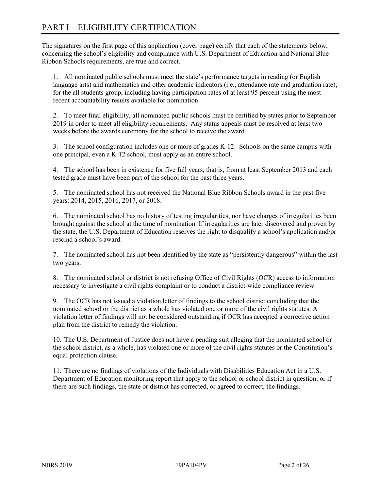# PART I – ELIGIBILITY CERTIFICATION

The signatures on the first page of this application (cover page) certify that each of the statements below, concerning the school's eligibility and compliance with U.S. Department of Education and National Blue Ribbon Schools requirements, are true and correct.

1. All nominated public schools must meet the state's performance targets in reading (or English language arts) and mathematics and other academic indicators (i.e., attendance rate and graduation rate), for the all students group, including having participation rates of at least 95 percent using the most recent accountability results available for nomination.

2. To meet final eligibility, all nominated public schools must be certified by states prior to September 2019 in order to meet all eligibility requirements. Any status appeals must be resolved at least two weeks before the awards ceremony for the school to receive the award.

3. The school configuration includes one or more of grades K-12. Schools on the same campus with one principal, even a K-12 school, must apply as an entire school.

4. The school has been in existence for five full years, that is, from at least September 2013 and each tested grade must have been part of the school for the past three years.

5. The nominated school has not received the National Blue Ribbon Schools award in the past five years: 2014, 2015, 2016, 2017, or 2018.

6. The nominated school has no history of testing irregularities, nor have charges of irregularities been brought against the school at the time of nomination. If irregularities are later discovered and proven by the state, the U.S. Department of Education reserves the right to disqualify a school's application and/or rescind a school's award.

7. The nominated school has not been identified by the state as "persistently dangerous" within the last two years.

8. The nominated school or district is not refusing Office of Civil Rights (OCR) access to information necessary to investigate a civil rights complaint or to conduct a district-wide compliance review.

9. The OCR has not issued a violation letter of findings to the school district concluding that the nominated school or the district as a whole has violated one or more of the civil rights statutes. A violation letter of findings will not be considered outstanding if OCR has accepted a corrective action plan from the district to remedy the violation.

10. The U.S. Department of Justice does not have a pending suit alleging that the nominated school or the school district, as a whole, has violated one or more of the civil rights statutes or the Constitution's equal protection clause.

11. There are no findings of violations of the Individuals with Disabilities Education Act in a U.S. Department of Education monitoring report that apply to the school or school district in question; or if there are such findings, the state or district has corrected, or agreed to correct, the findings.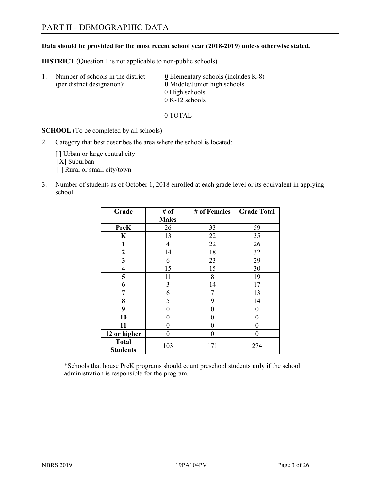# PART II - DEMOGRAPHIC DATA

#### **Data should be provided for the most recent school year (2018-2019) unless otherwise stated.**

**DISTRICT** (Question 1 is not applicable to non-public schools)

| $\mathbf{1}$ . | Number of schools in the district<br>(per district designation): | $\underline{0}$ Elementary schools (includes K-8)<br>0 Middle/Junior high schools |
|----------------|------------------------------------------------------------------|-----------------------------------------------------------------------------------|
|                |                                                                  | 0 High schools                                                                    |
|                |                                                                  | $0 K-12$ schools                                                                  |

0 TOTAL

**SCHOOL** (To be completed by all schools)

2. Category that best describes the area where the school is located:

[] Urban or large central city [X] Suburban [] Rural or small city/town

3. Number of students as of October 1, 2018 enrolled at each grade level or its equivalent in applying school:

| Grade                           | # of         | # of Females | <b>Grade Total</b> |
|---------------------------------|--------------|--------------|--------------------|
|                                 | <b>Males</b> |              |                    |
| <b>PreK</b>                     | 26           | 33           | 59                 |
| K                               | 13           | 22           | 35                 |
| 1                               | 4            | 22           | 26                 |
| $\mathbf{2}$                    | 14           | 18           | 32                 |
| 3                               | 6            | 23           | 29                 |
| $\overline{\mathbf{4}}$         | 15           | 15           | 30                 |
| 5                               | 11           | 8            | 19                 |
| 6                               | 3            | 14           | 17                 |
| 7                               | 6            | 7            | 13                 |
| 8                               | 5            | 9            | 14                 |
| 9                               | 0            | 0            | 0                  |
| 10                              | 0            | 0            | 0                  |
| 11                              | 0            | 0            | 0                  |
| 12 or higher                    | 0            | 0            | 0                  |
| <b>Total</b><br><b>Students</b> | 103          | 171          | 274                |

\*Schools that house PreK programs should count preschool students **only** if the school administration is responsible for the program.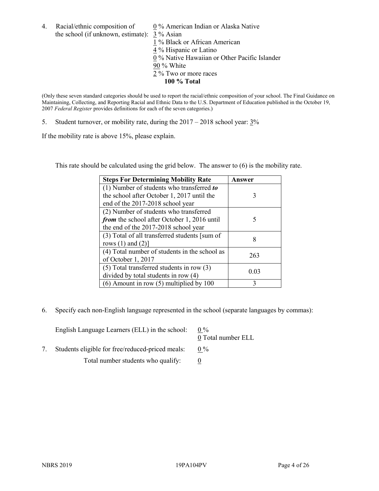4. Racial/ethnic composition of  $0\%$  American Indian or Alaska Native the school (if unknown, estimate): 3 % Asian

 % Black or African American % Hispanic or Latino % Native Hawaiian or Other Pacific Islander 90 % White % Two or more races **100 % Total**

(Only these seven standard categories should be used to report the racial/ethnic composition of your school. The Final Guidance on Maintaining, Collecting, and Reporting Racial and Ethnic Data to the U.S. Department of Education published in the October 19, 2007 *Federal Register* provides definitions for each of the seven categories.)

5. Student turnover, or mobility rate, during the  $2017 - 2018$  school year:  $3\%$ 

If the mobility rate is above 15%, please explain.

This rate should be calculated using the grid below. The answer to (6) is the mobility rate.

| <b>Steps For Determining Mobility Rate</b>    | Answer |
|-----------------------------------------------|--------|
| (1) Number of students who transferred to     |        |
| the school after October 1, 2017 until the    | 3      |
| end of the 2017-2018 school year              |        |
| (2) Number of students who transferred        |        |
| from the school after October 1, 2016 until   | 5      |
| the end of the 2017-2018 school year          |        |
| (3) Total of all transferred students [sum of | 8      |
| rows $(1)$ and $(2)$ ]                        |        |
| (4) Total number of students in the school as | 263    |
| of October 1, 2017                            |        |
| $(5)$ Total transferred students in row $(3)$ | 0.03   |
| divided by total students in row (4)          |        |
| $(6)$ Amount in row $(5)$ multiplied by 100   | 3      |

6. Specify each non-English language represented in the school (separate languages by commas):

| English Language Learners (ELL) in the school:   | $0\%$<br>0 Total number ELL |
|--------------------------------------------------|-----------------------------|
| Students eligible for free/reduced-priced meals: | $0\%$                       |
| Total number students who qualify:               |                             |
|                                                  |                             |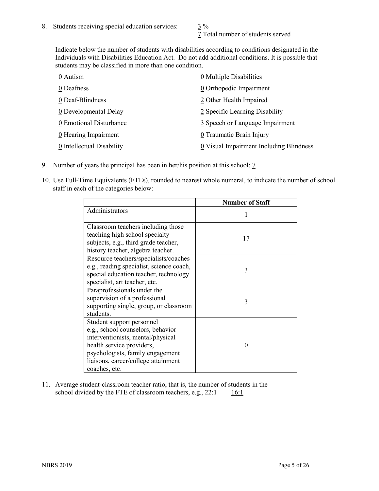7 Total number of students served

Indicate below the number of students with disabilities according to conditions designated in the Individuals with Disabilities Education Act. Do not add additional conditions. It is possible that students may be classified in more than one condition.

| 0 Multiple Disabilities                 |
|-----------------------------------------|
| 0 Orthopedic Impairment                 |
| 2 Other Health Impaired                 |
| 2 Specific Learning Disability          |
| 3 Speech or Language Impairment         |
| 0 Traumatic Brain Injury                |
| 0 Visual Impairment Including Blindness |
|                                         |

- 9. Number of years the principal has been in her/his position at this school: 7
- 10. Use Full-Time Equivalents (FTEs), rounded to nearest whole numeral, to indicate the number of school staff in each of the categories below:

|                                                                                                                                                                                                                              | <b>Number of Staff</b> |
|------------------------------------------------------------------------------------------------------------------------------------------------------------------------------------------------------------------------------|------------------------|
| Administrators                                                                                                                                                                                                               |                        |
| Classroom teachers including those<br>teaching high school specialty<br>subjects, e.g., third grade teacher,<br>history teacher, algebra teacher.                                                                            | 17                     |
| Resource teachers/specialists/coaches<br>e.g., reading specialist, science coach,<br>special education teacher, technology<br>specialist, art teacher, etc.                                                                  | 3                      |
| Paraprofessionals under the<br>supervision of a professional<br>supporting single, group, or classroom<br>students.                                                                                                          | 3                      |
| Student support personnel<br>e.g., school counselors, behavior<br>interventionists, mental/physical<br>health service providers,<br>psychologists, family engagement<br>liaisons, career/college attainment<br>coaches, etc. | $\mathbf{\Omega}$      |

11. Average student-classroom teacher ratio, that is, the number of students in the school divided by the FTE of classroom teachers, e.g.,  $22:1$  16:1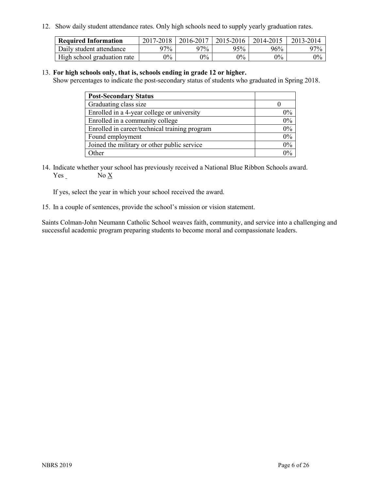12. Show daily student attendance rates. Only high schools need to supply yearly graduation rates.

| <b>Required Information</b> | 2017-2018 | 2016-2017 | 2015-2016 | 2014-2015 | 2013-2014 |
|-----------------------------|-----------|-----------|-----------|-----------|-----------|
| Daily student attendance    | 97%       | 97%       | 95%       | 96%       | $97\%$    |
| High school graduation rate | $0\%$     | $0\%$     | $0\%$     | $9\%$     | $0\%$     |

#### 13. **For high schools only, that is, schools ending in grade 12 or higher.**

Show percentages to indicate the post-secondary status of students who graduated in Spring 2018.

| <b>Post-Secondary Status</b>                  |           |
|-----------------------------------------------|-----------|
| Graduating class size                         |           |
| Enrolled in a 4-year college or university    | $0\%$     |
| Enrolled in a community college               | 0%        |
| Enrolled in career/technical training program | $0\%$     |
| Found employment                              | 0%        |
| Joined the military or other public service   | 0%        |
| Other                                         | በዓ $\sim$ |

14. Indicate whether your school has previously received a National Blue Ribbon Schools award. Yes No X

If yes, select the year in which your school received the award.

15. In a couple of sentences, provide the school's mission or vision statement.

Saints Colman-John Neumann Catholic School weaves faith, community, and service into a challenging and successful academic program preparing students to become moral and compassionate leaders.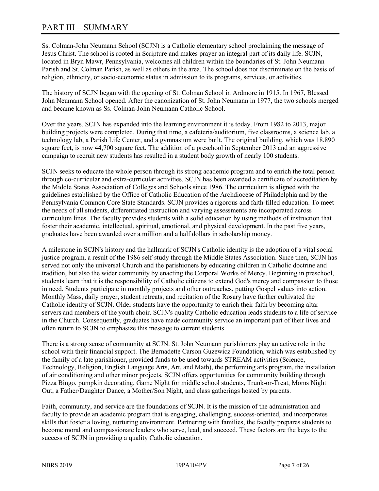# PART III – SUMMARY

Ss. Colman-John Neumann School (SCJN) is a Catholic elementary school proclaiming the message of Jesus Christ. The school is rooted in Scripture and makes prayer an integral part of its daily life. SCJN, located in Bryn Mawr, Pennsylvania, welcomes all children within the boundaries of St. John Neumann Parish and St. Colman Parish, as well as others in the area. The school does not discriminate on the basis of religion, ethnicity, or socio-economic status in admission to its programs, services, or activities.

The history of SCJN began with the opening of St. Colman School in Ardmore in 1915. In 1967, Blessed John Neumann School opened. After the canonization of St. John Neumann in 1977, the two schools merged and became known as Ss. Colman-John Neumann Catholic School.

Over the years, SCJN has expanded into the learning environment it is today. From 1982 to 2013, major building projects were completed. During that time, a cafeteria/auditorium, five classrooms, a science lab, a technology lab, a Parish Life Center, and a gymnasium were built. The original building, which was 18,890 square feet, is now 44,700 square feet. The addition of a preschool in September 2013 and an aggressive campaign to recruit new students has resulted in a student body growth of nearly 100 students.

SCJN seeks to educate the whole person through its strong academic program and to enrich the total person through co-curricular and extra-curricular activities. SCJN has been awarded a certificate of accreditation by the Middle States Association of Colleges and Schools since 1986. The curriculum is aligned with the guidelines established by the Office of Catholic Education of the Archdiocese of Philadelphia and by the Pennsylvania Common Core State Standards. SCJN provides a rigorous and faith-filled education. To meet the needs of all students, differentiated instruction and varying assessments are incorporated across curriculum lines. The faculty provides students with a solid education by using methods of instruction that foster their academic, intellectual, spiritual, emotional, and physical development. In the past five years, graduates have been awarded over a million and a half dollars in scholarship money.

A milestone in SCJN's history and the hallmark of SCJN's Catholic identity is the adoption of a vital social justice program, a result of the 1986 self-study through the Middle States Association. Since then, SCJN has served not only the universal Church and the parishioners by educating children in Catholic doctrine and tradition, but also the wider community by enacting the Corporal Works of Mercy. Beginning in preschool, students learn that it is the responsibility of Catholic citizens to extend God's mercy and compassion to those in need. Students participate in monthly projects and other outreaches, putting Gospel values into action. Monthly Mass, daily prayer, student retreats, and recitation of the Rosary have further cultivated the Catholic identity of SCJN. Older students have the opportunity to enrich their faith by becoming altar servers and members of the youth choir. SCJN's quality Catholic education leads students to a life of service in the Church. Consequently, graduates have made community service an important part of their lives and often return to SCJN to emphasize this message to current students.

There is a strong sense of community at SCJN. St. John Neumann parishioners play an active role in the school with their financial support. The Bernadette Carson Guzewicz Foundation, which was established by the family of a late parishioner, provided funds to be used towards STREAM activities (Science, Technology, Religion, English Language Arts, Art, and Math), the performing arts program, the installation of air conditioning and other minor projects. SCJN offers opportunities for community building through Pizza Bingo, pumpkin decorating, Game Night for middle school students, Trunk-or-Treat, Moms Night Out, a Father/Daughter Dance, a Mother/Son Night, and class gatherings hosted by parents.

Faith, community, and service are the foundations of SCJN. It is the mission of the administration and faculty to provide an academic program that is engaging, challenging, success-oriented, and incorporates skills that foster a loving, nurturing environment. Partnering with families, the faculty prepares students to become moral and compassionate leaders who serve, lead, and succeed. These factors are the keys to the success of SCJN in providing a quality Catholic education.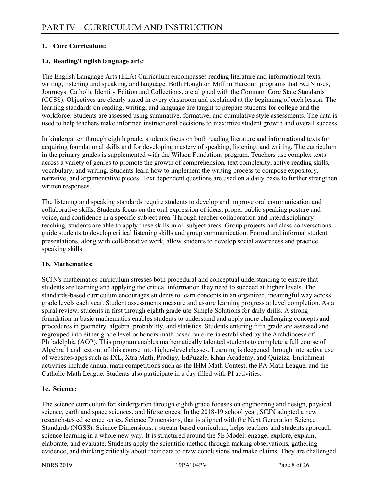## **1. Core Curriculum:**

## **1a. Reading/English language arts:**

The English Language Arts (ELA) Curriculum encompasses reading literature and informational texts, writing, listening and speaking, and language. Both Houghton Mifflin Harcourt programs that SCJN uses, Journeys: Catholic Identity Edition and Collections, are aligned with the Common Core State Standards (CCSS). Objectives are clearly stated in every classroom and explained at the beginning of each lesson. The learning standards on reading, writing, and language are taught to prepare students for college and the workforce. Students are assessed using summative, formative, and cumulative style assessments. The data is used to help teachers make informed instructional decisions to maximize student growth and overall success.

In kindergarten through eighth grade, students focus on both reading literature and informational texts for acquiring foundational skills and for developing mastery of speaking, listening, and writing. The curriculum in the primary grades is supplemented with the Wilson Fundations program. Teachers use complex texts across a variety of genres to promote the growth of comprehension, text complexity, active reading skills, vocabulary, and writing. Students learn how to implement the writing process to compose expository, narrative, and argumentative pieces. Text dependent questions are used on a daily basis to further strengthen written responses.

The listening and speaking standards require students to develop and improve oral communication and collaborative skills. Students focus on the oral expression of ideas, proper public speaking posture and voice, and confidence in a specific subject area. Through teacher collaboration and interdisciplinary teaching, students are able to apply these skills in all subject areas. Group projects and class conversations guide students to develop critical listening skills and group communication. Formal and informal student presentations, along with collaborative work, allow students to develop social awareness and practice speaking skills.

#### **1b. Mathematics:**

SCJN's mathematics curriculum stresses both procedural and conceptual understanding to ensure that students are learning and applying the critical information they need to succeed at higher levels. The standards-based curriculum encourages students to learn concepts in an organized, meaningful way across grade levels each year. Student assessments measure and assure learning progress at level completion. As a spiral review, students in first through eighth grade use Simple Solutions for daily drills. A strong foundation in basic mathematics enables students to understand and apply more challenging concepts and procedures in geometry, algebra, probability, and statistics. Students entering fifth grade are assessed and regrouped into either grade level or honors math based on criteria established by the Archdiocese of Philadelphia (AOP). This program enables mathematically talented students to complete a full course of Algebra 1 and test out of this course into higher-level classes. Learning is deepened through interactive use of websites/apps such as IXL, Xtra Math, Prodigy, EdPuzzle, Khan Academy, and Quizizz. Enrichment activities include annual math competitions such as the IHM Math Contest, the PA Math League, and the Catholic Math League. Students also participate in a day filled with PI activities.

## **1c. Science:**

The science curriculum for kindergarten through eighth grade focuses on engineering and design, physical science, earth and space sciences, and life sciences. In the 2018-19 school year, SCJN adopted a new research-tested science series, Science Dimensions, that is aligned with the Next Generation Science Standards (NGSS). Science Dimensions, a stream-based curriculum, helps teachers and students approach science learning in a whole new way. It is structured around the 5E Model: engage, explore, explain, elaborate, and evaluate. Students apply the scientific method through making observations, gathering evidence, and thinking critically about their data to draw conclusions and make claims. They are challenged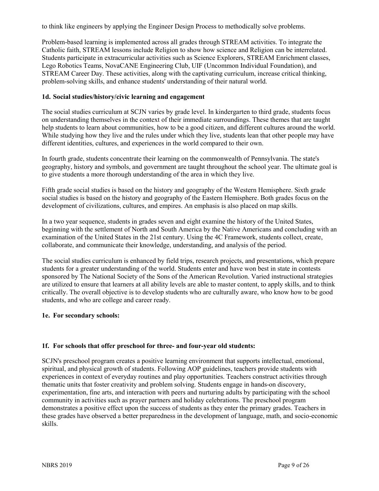to think like engineers by applying the Engineer Design Process to methodically solve problems.

Problem-based learning is implemented across all grades through STREAM activities. To integrate the Catholic faith, STREAM lessons include Religion to show how science and Religion can be interrelated. Students participate in extracurricular activities such as Science Explorers, STREAM Enrichment classes, Lego Robotics Teams, NovaCANE Engineering Club, UIF (Uncommon Individual Foundation), and STREAM Career Day. These activities, along with the captivating curriculum, increase critical thinking, problem-solving skills, and enhance students' understanding of their natural world.

#### **1d. Social studies/history/civic learning and engagement**

The social studies curriculum at SCJN varies by grade level. In kindergarten to third grade, students focus on understanding themselves in the context of their immediate surroundings. These themes that are taught help students to learn about communities, how to be a good citizen, and different cultures around the world. While studying how they live and the rules under which they live, students lean that other people may have different identities, cultures, and experiences in the world compared to their own.

In fourth grade, students concentrate their learning on the commonwealth of Pennsylvania. The state's geography, history and symbols, and government are taught throughout the school year. The ultimate goal is to give students a more thorough understanding of the area in which they live.

Fifth grade social studies is based on the history and geography of the Western Hemisphere. Sixth grade social studies is based on the history and geography of the Eastern Hemisphere. Both grades focus on the development of civilizations, cultures, and empires. An emphasis is also placed on map skills.

In a two year sequence, students in grades seven and eight examine the history of the United States, beginning with the settlement of North and South America by the Native Americans and concluding with an examination of the United States in the 21st century. Using the 4C Framework, students collect, create, collaborate, and communicate their knowledge, understanding, and analysis of the period.

The social studies curriculum is enhanced by field trips, research projects, and presentations, which prepare students for a greater understanding of the world. Students enter and have won best in state in contests sponsored by The National Society of the Sons of the American Revolution. Varied instructional strategies are utilized to ensure that learners at all ability levels are able to master content, to apply skills, and to think critically. The overall objective is to develop students who are culturally aware, who know how to be good students, and who are college and career ready.

## **1e. For secondary schools:**

## **1f. For schools that offer preschool for three- and four-year old students:**

SCJN's preschool program creates a positive learning environment that supports intellectual, emotional, spiritual, and physical growth of students. Following AOP guidelines, teachers provide students with experiences in context of everyday routines and play opportunities. Teachers construct activities through thematic units that foster creativity and problem solving. Students engage in hands-on discovery, experimentation, fine arts, and interaction with peers and nurturing adults by participating with the school community in activities such as prayer partners and holiday celebrations. The preschool program demonstrates a positive effect upon the success of students as they enter the primary grades. Teachers in these grades have observed a better preparedness in the development of language, math, and socio-economic skills.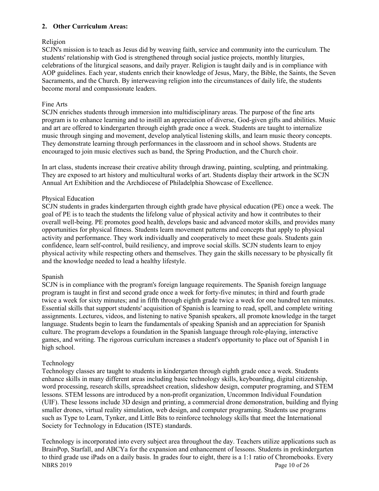#### **2. Other Curriculum Areas:**

## Religion

SCJN's mission is to teach as Jesus did by weaving faith, service and community into the curriculum. The students' relationship with God is strengthened through social justice projects, monthly liturgies, celebrations of the liturgical seasons, and daily prayer. Religion is taught daily and is in compliance with AOP guidelines. Each year, students enrich their knowledge of Jesus, Mary, the Bible, the Saints, the Seven Sacraments, and the Church. By interweaving religion into the circumstances of daily life, the students become moral and compassionate leaders.

#### Fine Arts

SCJN enriches students through immersion into multidisciplinary areas. The purpose of the fine arts program is to enhance learning and to instill an appreciation of diverse, God-given gifts and abilities. Music and art are offered to kindergarten through eighth grade once a week. Students are taught to internalize music through singing and movement, develop analytical listening skills, and learn music theory concepts. They demonstrate learning through performances in the classroom and in school shows. Students are encouraged to join music electives such as band, the Spring Production, and the Church choir.

In art class, students increase their creative ability through drawing, painting, sculpting, and printmaking. They are exposed to art history and multicultural works of art. Students display their artwork in the SCJN Annual Art Exhibition and the Archdiocese of Philadelphia Showcase of Excellence.

#### Physical Education

SCJN students in grades kindergarten through eighth grade have physical education (PE) once a week. The goal of PE is to teach the students the lifelong value of physical activity and how it contributes to their overall well-being. PE promotes good health, develops basic and advanced motor skills, and provides many opportunities for physical fitness. Students learn movement patterns and concepts that apply to physical activity and performance. They work individually and cooperatively to meet these goals. Students gain confidence, learn self-control, build resiliency, and improve social skills. SCJN students learn to enjoy physical activity while respecting others and themselves. They gain the skills necessary to be physically fit and the knowledge needed to lead a healthy lifestyle.

#### Spanish

SCJN is in compliance with the program's foreign language requirements. The Spanish foreign language program is taught in first and second grade once a week for forty-five minutes; in third and fourth grade twice a week for sixty minutes; and in fifth through eighth grade twice a week for one hundred ten minutes. Essential skills that support students' acquisition of Spanish is learning to read, spell, and complete writing assignments. Lectures, videos, and listening to native Spanish speakers, all promote knowledge in the target language. Students begin to learn the fundamentals of speaking Spanish and an appreciation for Spanish culture. The program develops a foundation in the Spanish language through role-playing, interactive games, and writing. The rigorous curriculum increases a student's opportunity to place out of Spanish I in high school.

#### Technology

Technology classes are taught to students in kindergarten through eighth grade once a week. Students enhance skills in many different areas including basic technology skills, keyboarding, digital citizenship, word processing, research skills, spreadsheet creation, slideshow design, computer programing, and STEM lessons. STEM lessons are introduced by a non-profit organization, Uncommon Individual Foundation (UIF). These lessons include 3D design and printing, a commercial drone demonstration, building and flying smaller drones, virtual reality simulation, web design, and computer programing. Students use programs such as Type to Learn, Tynker, and Little Bits to reinforce technology skills that meet the International Society for Technology in Education (ISTE) standards.

NBRS 2019 Page 10 of 26 Technology is incorporated into every subject area throughout the day. Teachers utilize applications such as BrainPop, Starfall, and ABCYa for the expansion and enhancement of lessons. Students in prekindergarten to third grade use iPads on a daily basis. In grades four to eight, there is a 1:1 ratio of Chromebooks. Every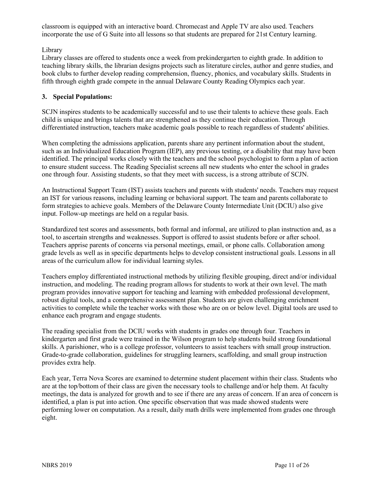classroom is equipped with an interactive board. Chromecast and Apple TV are also used. Teachers incorporate the use of G Suite into all lessons so that students are prepared for 21st Century learning.

## Library

Library classes are offered to students once a week from prekindergarten to eighth grade. In addition to teaching library skills, the librarian designs projects such as literature circles, author and genre studies, and book clubs to further develop reading comprehension, fluency, phonics, and vocabulary skills. Students in fifth through eighth grade compete in the annual Delaware County Reading Olympics each year.

## **3. Special Populations:**

SCJN inspires students to be academically successful and to use their talents to achieve these goals. Each child is unique and brings talents that are strengthened as they continue their education. Through differentiated instruction, teachers make academic goals possible to reach regardless of students' abilities.

When completing the admissions application, parents share any pertinent information about the student, such as an Individualized Education Program (IEP), any previous testing, or a disability that may have been identified. The principal works closely with the teachers and the school psychologist to form a plan of action to ensure student success. The Reading Specialist screens all new students who enter the school in grades one through four. Assisting students, so that they meet with success, is a strong attribute of SCJN.

An Instructional Support Team (IST) assists teachers and parents with students' needs. Teachers may request an IST for various reasons, including learning or behavioral support. The team and parents collaborate to form strategies to achieve goals. Members of the Delaware County Intermediate Unit (DCIU) also give input. Follow-up meetings are held on a regular basis.

Standardized test scores and assessments, both formal and informal, are utilized to plan instruction and, as a tool, to ascertain strengths and weaknesses. Support is offered to assist students before or after school. Teachers apprise parents of concerns via personal meetings, email, or phone calls. Collaboration among grade levels as well as in specific departments helps to develop consistent instructional goals. Lessons in all areas of the curriculum allow for individual learning styles.

Teachers employ differentiated instructional methods by utilizing flexible grouping, direct and/or individual instruction, and modeling. The reading program allows for students to work at their own level. The math program provides innovative support for teaching and learning with embedded professional development, robust digital tools, and a comprehensive assessment plan. Students are given challenging enrichment activities to complete while the teacher works with those who are on or below level. Digital tools are used to enhance each program and engage students.

The reading specialist from the DCIU works with students in grades one through four. Teachers in kindergarten and first grade were trained in the Wilson program to help students build strong foundational skills. A parishioner, who is a college professor, volunteers to assist teachers with small group instruction. Grade-to-grade collaboration, guidelines for struggling learners, scaffolding, and small group instruction provides extra help.

Each year, Terra Nova Scores are examined to determine student placement within their class. Students who are at the top/bottom of their class are given the necessary tools to challenge and/or help them. At faculty meetings, the data is analyzed for growth and to see if there are any areas of concern. If an area of concern is identified, a plan is put into action. One specific observation that was made showed students were performing lower on computation. As a result, daily math drills were implemented from grades one through eight.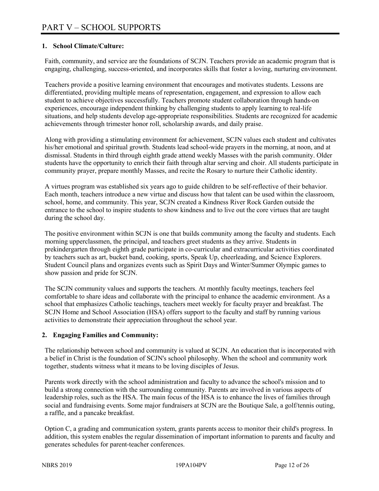## **1. School Climate/Culture:**

Faith, community, and service are the foundations of SCJN. Teachers provide an academic program that is engaging, challenging, success-oriented, and incorporates skills that foster a loving, nurturing environment.

Teachers provide a positive learning environment that encourages and motivates students. Lessons are differentiated, providing multiple means of representation, engagement, and expression to allow each student to achieve objectives successfully. Teachers promote student collaboration through hands-on experiences, encourage independent thinking by challenging students to apply learning to real-life situations, and help students develop age-appropriate responsibilities. Students are recognized for academic achievements through trimester honor roll, scholarship awards, and daily praise.

Along with providing a stimulating environment for achievement, SCJN values each student and cultivates his/her emotional and spiritual growth. Students lead school-wide prayers in the morning, at noon, and at dismissal. Students in third through eighth grade attend weekly Masses with the parish community. Older students have the opportunity to enrich their faith through altar serving and choir. All students participate in community prayer, prepare monthly Masses, and recite the Rosary to nurture their Catholic identity.

A virtues program was established six years ago to guide children to be self-reflective of their behavior. Each month, teachers introduce a new virtue and discuss how that talent can be used within the classroom, school, home, and community. This year, SCJN created a Kindness River Rock Garden outside the entrance to the school to inspire students to show kindness and to live out the core virtues that are taught during the school day.

The positive environment within SCJN is one that builds community among the faculty and students. Each morning upperclassmen, the principal, and teachers greet students as they arrive. Students in prekindergarten through eighth grade participate in co-curricular and extracurricular activities coordinated by teachers such as art, bucket band, cooking, sports, Speak Up, cheerleading, and Science Explorers. Student Council plans and organizes events such as Spirit Days and Winter/Summer Olympic games to show passion and pride for SCJN.

The SCJN community values and supports the teachers. At monthly faculty meetings, teachers feel comfortable to share ideas and collaborate with the principal to enhance the academic environment. As a school that emphasizes Catholic teachings, teachers meet weekly for faculty prayer and breakfast. The SCJN Home and School Association (HSA) offers support to the faculty and staff by running various activities to demonstrate their appreciation throughout the school year.

#### **2. Engaging Families and Community:**

The relationship between school and community is valued at SCJN. An education that is incorporated with a belief in Christ is the foundation of SCJN's school philosophy. When the school and community work together, students witness what it means to be loving disciples of Jesus.

Parents work directly with the school administration and faculty to advance the school's mission and to build a strong connection with the surrounding community. Parents are involved in various aspects of leadership roles, such as the HSA. The main focus of the HSA is to enhance the lives of families through social and fundraising events. Some major fundraisers at SCJN are the Boutique Sale, a golf/tennis outing, a raffle, and a pancake breakfast.

Option C, a grading and communication system, grants parents access to monitor their child's progress. In addition, this system enables the regular dissemination of important information to parents and faculty and generates schedules for parent-teacher conferences.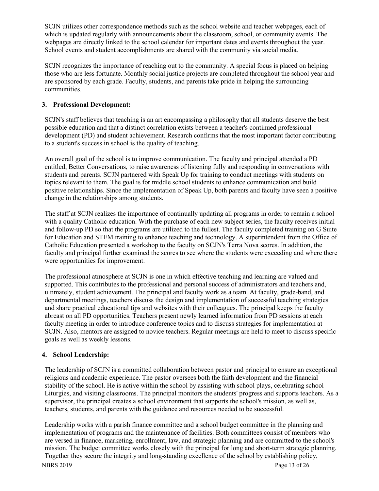SCJN utilizes other correspondence methods such as the school website and teacher webpages, each of which is updated regularly with announcements about the classroom, school, or community events. The webpages are directly linked to the school calendar for important dates and events throughout the year. School events and student accomplishments are shared with the community via social media.

SCJN recognizes the importance of reaching out to the community. A special focus is placed on helping those who are less fortunate. Monthly social justice projects are completed throughout the school year and are sponsored by each grade. Faculty, students, and parents take pride in helping the surrounding communities.

## **3. Professional Development:**

SCJN's staff believes that teaching is an art encompassing a philosophy that all students deserve the best possible education and that a distinct correlation exists between a teacher's continued professional development (PD) and student achievement. Research confirms that the most important factor contributing to a student's success in school is the quality of teaching.

An overall goal of the school is to improve communication. The faculty and principal attended a PD entitled, Better Conversations, to raise awareness of listening fully and responding in conversations with students and parents. SCJN partnered with Speak Up for training to conduct meetings with students on topics relevant to them. The goal is for middle school students to enhance communication and build positive relationships. Since the implementation of Speak Up, both parents and faculty have seen a positive change in the relationships among students.

The staff at SCJN realizes the importance of continually updating all programs in order to remain a school with a quality Catholic education. With the purchase of each new subject series, the faculty receives initial and follow-up PD so that the programs are utilized to the fullest. The faculty completed training on G Suite for Education and STEM training to enhance teaching and technology. A superintendent from the Office of Catholic Education presented a workshop to the faculty on SCJN's Terra Nova scores. In addition, the faculty and principal further examined the scores to see where the students were exceeding and where there were opportunities for improvement.

The professional atmosphere at SCJN is one in which effective teaching and learning are valued and supported. This contributes to the professional and personal success of administrators and teachers and, ultimately, student achievement. The principal and faculty work as a team. At faculty, grade-band, and departmental meetings, teachers discuss the design and implementation of successful teaching strategies and share practical educational tips and websites with their colleagues. The principal keeps the faculty abreast on all PD opportunities. Teachers present newly learned information from PD sessions at each faculty meeting in order to introduce conference topics and to discuss strategies for implementation at SCJN. Also, mentors are assigned to novice teachers. Regular meetings are held to meet to discuss specific goals as well as weekly lessons.

## **4. School Leadership:**

The leadership of SCJN is a committed collaboration between pastor and principal to ensure an exceptional religious and academic experience. The pastor oversees both the faith development and the financial stability of the school. He is active within the school by assisting with school plays, celebrating school Liturgies, and visiting classrooms. The principal monitors the students' progress and supports teachers. As a supervisor, the principal creates a school environment that supports the school's mission, as well as, teachers, students, and parents with the guidance and resources needed to be successful.

Leadership works with a parish finance committee and a school budget committee in the planning and implementation of programs and the maintenance of facilities. Both committees consist of members who are versed in finance, marketing, enrollment, law, and strategic planning and are committed to the school's mission. The budget committee works closely with the principal for long and short-term strategic planning. Together they secure the integrity and long-standing excellence of the school by establishing policy,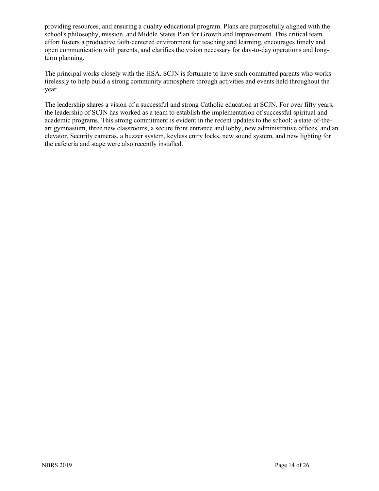providing resources, and ensuring a quality educational program. Plans are purposefully aligned with the school's philosophy, mission, and Middle States Plan for Growth and Improvement. This critical team effort fosters a productive faith-centered environment for teaching and learning, encourages timely and open communication with parents, and clarifies the vision necessary for day-to-day operations and longterm planning.

The principal works closely with the HSA. SCJN is fortunate to have such committed parents who works tirelessly to help build a strong community atmosphere through activities and events held throughout the year.

The leadership shares a vision of a successful and strong Catholic education at SCJN. For over fifty years, the leadership of SCJN has worked as a team to establish the implementation of successful spiritual and academic programs. This strong commitment is evident in the recent updates to the school: a state-of-theart gymnasium, three new classrooms, a secure front entrance and lobby, new administrative offices, and an elevator. Security cameras, a buzzer system, keyless entry locks, new sound system, and new lighting for the cafeteria and stage were also recently installed.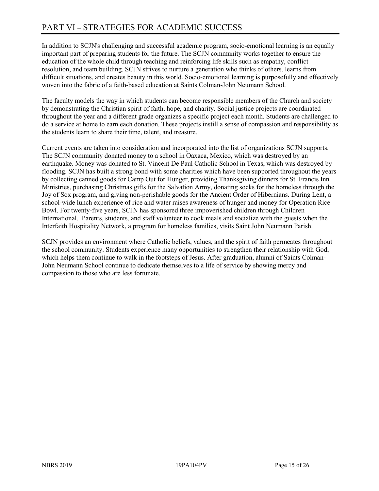In addition to SCJN's challenging and successful academic program, socio-emotional learning is an equally important part of preparing students for the future. The SCJN community works together to ensure the education of the whole child through teaching and reinforcing life skills such as empathy, conflict resolution, and team building. SCJN strives to nurture a generation who thinks of others, learns from difficult situations, and creates beauty in this world. Socio-emotional learning is purposefully and effectively woven into the fabric of a faith-based education at Saints Colman-John Neumann School.

The faculty models the way in which students can become responsible members of the Church and society by demonstrating the Christian spirit of faith, hope, and charity. Social justice projects are coordinated throughout the year and a different grade organizes a specific project each month. Students are challenged to do a service at home to earn each donation. These projects instill a sense of compassion and responsibility as the students learn to share their time, talent, and treasure.

Current events are taken into consideration and incorporated into the list of organizations SCJN supports. The SCJN community donated money to a school in Oaxaca, Mexico, which was destroyed by an earthquake. Money was donated to St. Vincent De Paul Catholic School in Texas, which was destroyed by flooding. SCJN has built a strong bond with some charities which have been supported throughout the years by collecting canned goods for Camp Out for Hunger, providing Thanksgiving dinners for St. Francis Inn Ministries, purchasing Christmas gifts for the Salvation Army, donating socks for the homeless through the Joy of Sox program, and giving non-perishable goods for the Ancient Order of Hibernians. During Lent, a school-wide lunch experience of rice and water raises awareness of hunger and money for Operation Rice Bowl. For twenty-five years, SCJN has sponsored three impoverished children through Children International. Parents, students, and staff volunteer to cook meals and socialize with the guests when the Interfaith Hospitality Network, a program for homeless families, visits Saint John Neumann Parish.

SCJN provides an environment where Catholic beliefs, values, and the spirit of faith permeates throughout the school community. Students experience many opportunities to strengthen their relationship with God, which helps them continue to walk in the footsteps of Jesus. After graduation, alumni of Saints Colman-John Neumann School continue to dedicate themselves to a life of service by showing mercy and compassion to those who are less fortunate.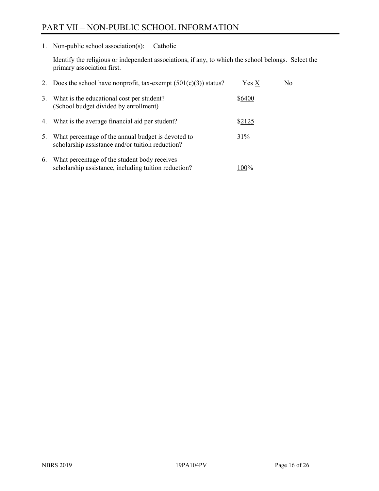# PART VII – NON-PUBLIC SCHOOL INFORMATION

1. Non-public school association(s): Catholic

Identify the religious or independent associations, if any, to which the school belongs. Select the primary association first.

| 2. | Does the school have nonprofit, tax-exempt $(501(c)(3))$ status?                                       | Yes X  | No. |
|----|--------------------------------------------------------------------------------------------------------|--------|-----|
| 3. | What is the educational cost per student?<br>(School budget divided by enrollment)                     | \$6400 |     |
|    | 4. What is the average financial aid per student?                                                      | \$2125 |     |
| 5. | What percentage of the annual budget is devoted to<br>scholarship assistance and/or tuition reduction? | 31%    |     |
| 6. | What percentage of the student body receives<br>scholarship assistance, including tuition reduction?   | 100%   |     |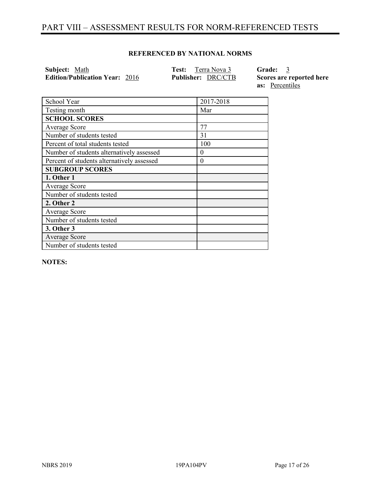# PART VIII – ASSESSMENT RESULTS FOR NORM-REFERENCED TESTS

#### **REFERENCED BY NATIONAL NORMS**

**Subject:** Math **Test:** Terra Nova 3 **Grade:** 3 **Edition/Publication Year:** 2016 **Publisher:** DRC/CTB **Scores are reported here** 

**as:** Percentiles

| School Year                                | 2017-2018 |
|--------------------------------------------|-----------|
| Testing month                              | Mar       |
| <b>SCHOOL SCORES</b>                       |           |
| Average Score                              | 77        |
| Number of students tested                  | 31        |
| Percent of total students tested           | 100       |
| Number of students alternatively assessed  | $\theta$  |
| Percent of students alternatively assessed | $\theta$  |
| <b>SUBGROUP SCORES</b>                     |           |
| 1. Other 1                                 |           |
| Average Score                              |           |
| Number of students tested                  |           |
| 2. Other 2                                 |           |
| Average Score                              |           |
| Number of students tested                  |           |
| 3. Other 3                                 |           |
| Average Score                              |           |
| Number of students tested                  |           |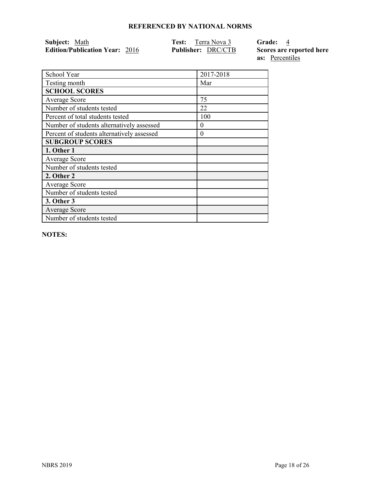| Subject: Math                         | Terra Nova 3<br>Test:     | Grade: 4                 |
|---------------------------------------|---------------------------|--------------------------|
| <b>Edition/Publication Year: 2016</b> | <b>Publisher: DRC/CTB</b> | Scores are reported here |
|                                       |                           | <b>as:</b> Percentiles   |

| 2017-2018 |
|-----------|
|           |
| Mar       |
|           |
| 75        |
| 22        |
| 100       |
| $\theta$  |
| $\theta$  |
|           |
|           |
|           |
|           |
|           |
|           |
|           |
|           |
|           |
|           |
|           |

**NOTES:** 

 $\mathsf{I}$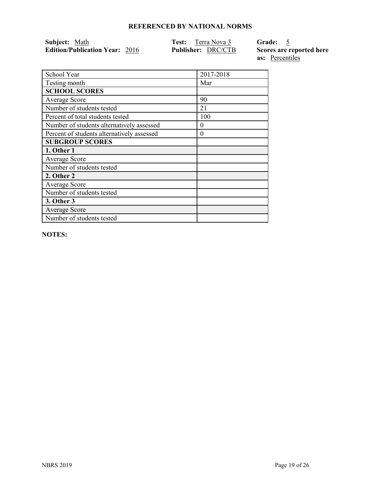| Subject: Math                         | Terra Nova 3<br>Test:     | Grade: 5                 |
|---------------------------------------|---------------------------|--------------------------|
| <b>Edition/Publication Year: 2016</b> | <b>Publisher: DRC/CTB</b> | Scores are reported here |
|                                       |                           | <b>as:</b> Percentiles   |

| School Year                                | 2017-2018 |
|--------------------------------------------|-----------|
| Testing month                              | Mar       |
| <b>SCHOOL SCORES</b>                       |           |
| Average Score                              | 90        |
| Number of students tested                  | 21        |
| Percent of total students tested           | 100       |
| Number of students alternatively assessed  | 0         |
| Percent of students alternatively assessed | 0         |
| <b>SUBGROUP SCORES</b>                     |           |
| 1. Other 1                                 |           |
| Average Score                              |           |
| Number of students tested                  |           |
| 2. Other 2                                 |           |
| Average Score                              |           |
| Number of students tested                  |           |
| 3. Other 3                                 |           |
| <b>Average Score</b>                       |           |
| Number of students tested                  |           |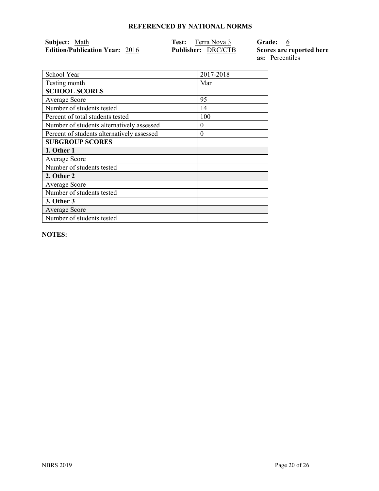| Subject: Math                         | Terra Nova 3<br>Test:     | Grade: 6                 |
|---------------------------------------|---------------------------|--------------------------|
| <b>Edition/Publication Year: 2016</b> | <b>Publisher: DRC/CTB</b> | Scores are reported here |
|                                       |                           | <b>as:</b> Percentiles   |

| School Year                                | 2017-2018 |
|--------------------------------------------|-----------|
| Testing month                              | Mar       |
| <b>SCHOOL SCORES</b>                       |           |
| Average Score                              | 95        |
| Number of students tested                  | 14        |
| Percent of total students tested           | 100       |
| Number of students alternatively assessed  | $\theta$  |
| Percent of students alternatively assessed | $\theta$  |
| <b>SUBGROUP SCORES</b>                     |           |
| 1. Other 1                                 |           |
| Average Score                              |           |
| Number of students tested                  |           |
| 2. Other 2                                 |           |
| Average Score                              |           |
| Number of students tested                  |           |
| 3. Other 3                                 |           |
| Average Score                              |           |
| Number of students tested                  |           |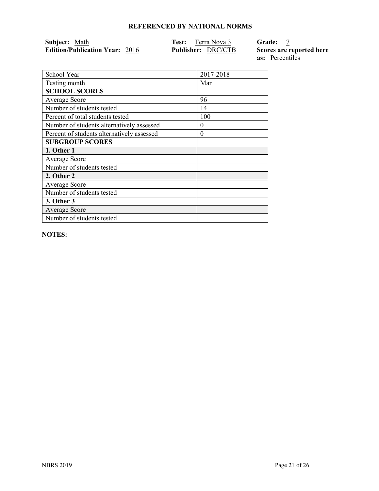| Subject: Math                         | Terra Nova 3<br>Test:     | <b>Grade:</b>            |
|---------------------------------------|---------------------------|--------------------------|
| <b>Edition/Publication Year: 2016</b> | <b>Publisher: DRC/CTB</b> | Scores are reported here |
|                                       |                           | <b>as:</b> Percentiles   |

| School Year                                | 2017-2018 |
|--------------------------------------------|-----------|
| Testing month                              | Mar       |
| <b>SCHOOL SCORES</b>                       |           |
| Average Score                              | 96        |
| Number of students tested                  | 14        |
| Percent of total students tested           | 100       |
| Number of students alternatively assessed  | $\theta$  |
| Percent of students alternatively assessed | $\theta$  |
| <b>SUBGROUP SCORES</b>                     |           |
| 1. Other 1                                 |           |
|                                            |           |
| <b>Average Score</b>                       |           |
| Number of students tested                  |           |
| 2. Other 2                                 |           |
| <b>Average Score</b>                       |           |
| Number of students tested                  |           |
| <b>3. Other 3</b>                          |           |
| <b>Average Score</b>                       |           |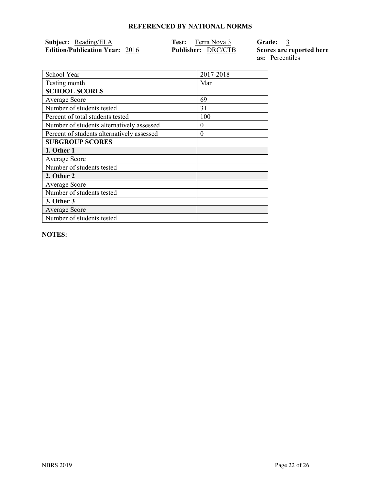| <b>Subject:</b> Reading/ELA           | <b>Test:</b> Terra Nova 3 | Grade: 3                 |
|---------------------------------------|---------------------------|--------------------------|
| <b>Edition/Publication Year: 2016</b> | <b>Publisher: DRC/CTB</b> | Scores are reported here |
|                                       |                           | as: Percentiles          |

| School Year                                | 2017-2018 |
|--------------------------------------------|-----------|
| Testing month                              | Mar       |
| <b>SCHOOL SCORES</b>                       |           |
| Average Score                              | 69        |
| Number of students tested                  | 31        |
| Percent of total students tested           | 100       |
| Number of students alternatively assessed  | $\theta$  |
| Percent of students alternatively assessed | $\theta$  |
| <b>SUBGROUP SCORES</b>                     |           |
| 1. Other 1                                 |           |
| Average Score                              |           |
| Number of students tested                  |           |
| 2. Other 2                                 |           |
| <b>Average Score</b>                       |           |
| Number of students tested                  |           |
| <b>3. Other 3</b>                          |           |
| <b>Average Score</b>                       |           |
| Number of students tested                  |           |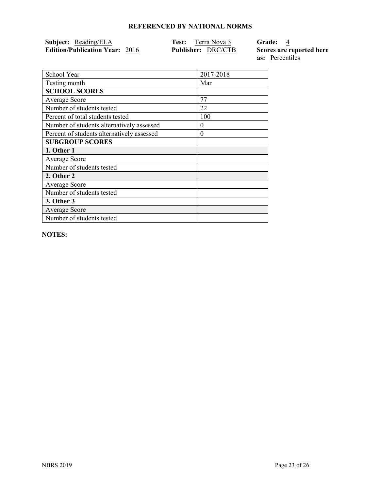| <b>Subject:</b> Reading/ELA           | <b>Test:</b> Terra Nova 3 | Grade: 4                 |
|---------------------------------------|---------------------------|--------------------------|
| <b>Edition/Publication Year: 2016</b> | <b>Publisher: DRC/CTB</b> | Scores are reported here |
|                                       |                           | as: Percentiles          |

School Year 2017-2018 Testing month Mar **SCHOOL SCORES** Average Score 77 Number of students tested 22 Percent of total students tested 100 Number of students alternatively assessed  $\vert 0 \rangle$ Percent of students alternatively assessed 0 **SUBGROUP SCORES 1. Other 1** Average Score Number of students tested **2. Other 2** Average Score Number of students tested **3. Other 3** Average Score Number of students tested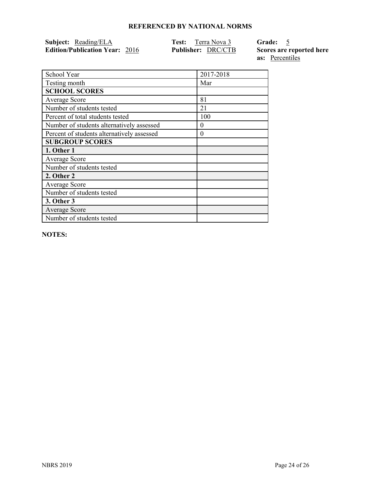| <b>Subject:</b> Reading/ELA           | <b>Test:</b> Terra Nova 3 | Grade: 5                 |
|---------------------------------------|---------------------------|--------------------------|
| <b>Edition/Publication Year: 2016</b> | <b>Publisher: DRC/CTB</b> | Scores are reported here |
|                                       |                           | as: Percentiles          |

School Year 2017-2018 Testing month Mar **SCHOOL SCORES** Average Score 81 Number of students tested 21 Percent of total students tested 100 Number of students alternatively assessed 0 Percent of students alternatively assessed 0 **SUBGROUP SCORES 1. Other 1** Average Score Number of students tested **2. Other 2** Average Score Number of students tested **3. Other 3** Average Score Number of students tested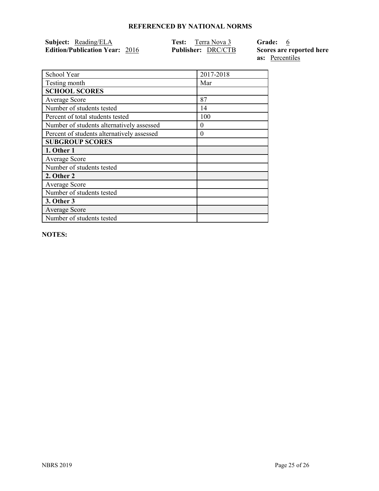| Subject: Reading/ELA                  | <b>Test:</b> Terra Nova 3 | Grade: 6       |
|---------------------------------------|---------------------------|----------------|
| <b>Edition/Publication Year: 2016</b> | <b>Publisher: DRC/CTB</b> | Scores are rep |

**Ported here as:** Percentiles

| School Year                                | 2017-2018 |
|--------------------------------------------|-----------|
| Testing month                              | Mar       |
| <b>SCHOOL SCORES</b>                       |           |
| <b>Average Score</b>                       | 87        |
| Number of students tested                  | 14        |
| Percent of total students tested           | 100       |
| Number of students alternatively assessed  | $\theta$  |
| Percent of students alternatively assessed | $\theta$  |
| <b>SUBGROUP SCORES</b>                     |           |
| 1. Other 1                                 |           |
| Average Score                              |           |
| Number of students tested                  |           |
| 2. Other 2                                 |           |
| <b>Average Score</b>                       |           |
| Number of students tested                  |           |
| 3. Other 3                                 |           |
| Average Score                              |           |
| Number of students tested                  |           |